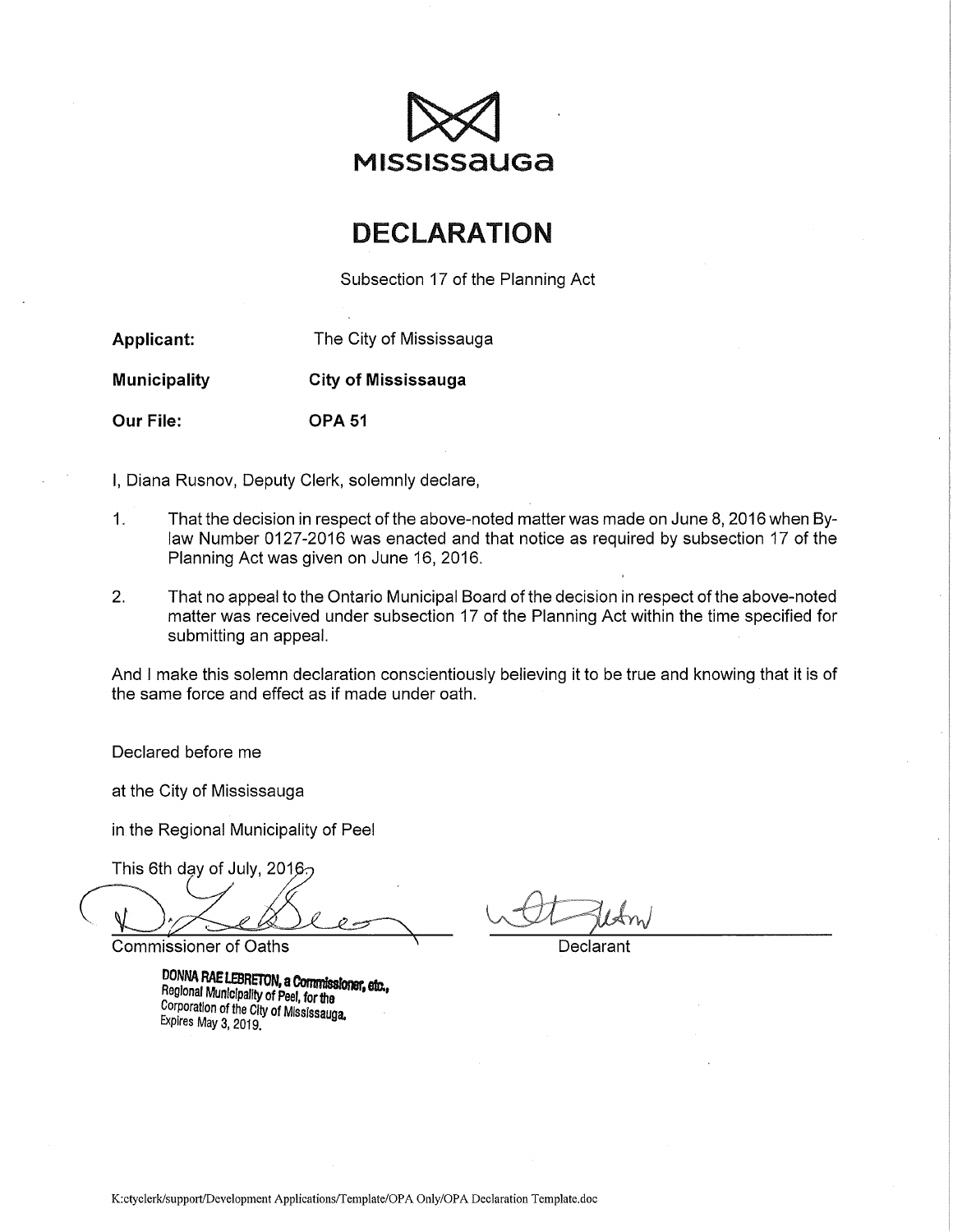

## **DECLARATION**

Subsection 17 of the Planning Act

| Applicant:          | The City of Mississauga    |
|---------------------|----------------------------|
| <b>Municipality</b> | <b>City of Mississauga</b> |
| <b>Our File:</b>    | <b>OPA 51</b>              |

I, Diana Rusnov, Deputy Clerk, solemnly declare,

- $1<sub>1</sub>$ That the decision in respect of the above-noted matter was made on June 8, 2016 when Bylaw Number 0127-2016 was enacted and that notice as required by subsection 17 of the Planning Act was given on June 16, 2016.
- $2.$ That no appeal to the Ontario Municipal Board of the decision in respect of the above-noted matter was received under subsection 17 of the Planning Act within the time specified for submitting an appeal.

And I make this solemn declaration conscientiously believing it to be true and knowing that it is of the same force and effect as if made under oath.

Declared before me

at the City of Mississauga

in the Regional Municipality of Peel

This 6th day of July, 2016.

**Commissioner of Oaths** 

DONNA RAE LEBRETON, a Commissioner, etc., Regional Municipality of Peel, for the Corporation of the City of Mississauga. Expires May 3, 2019.

Declarant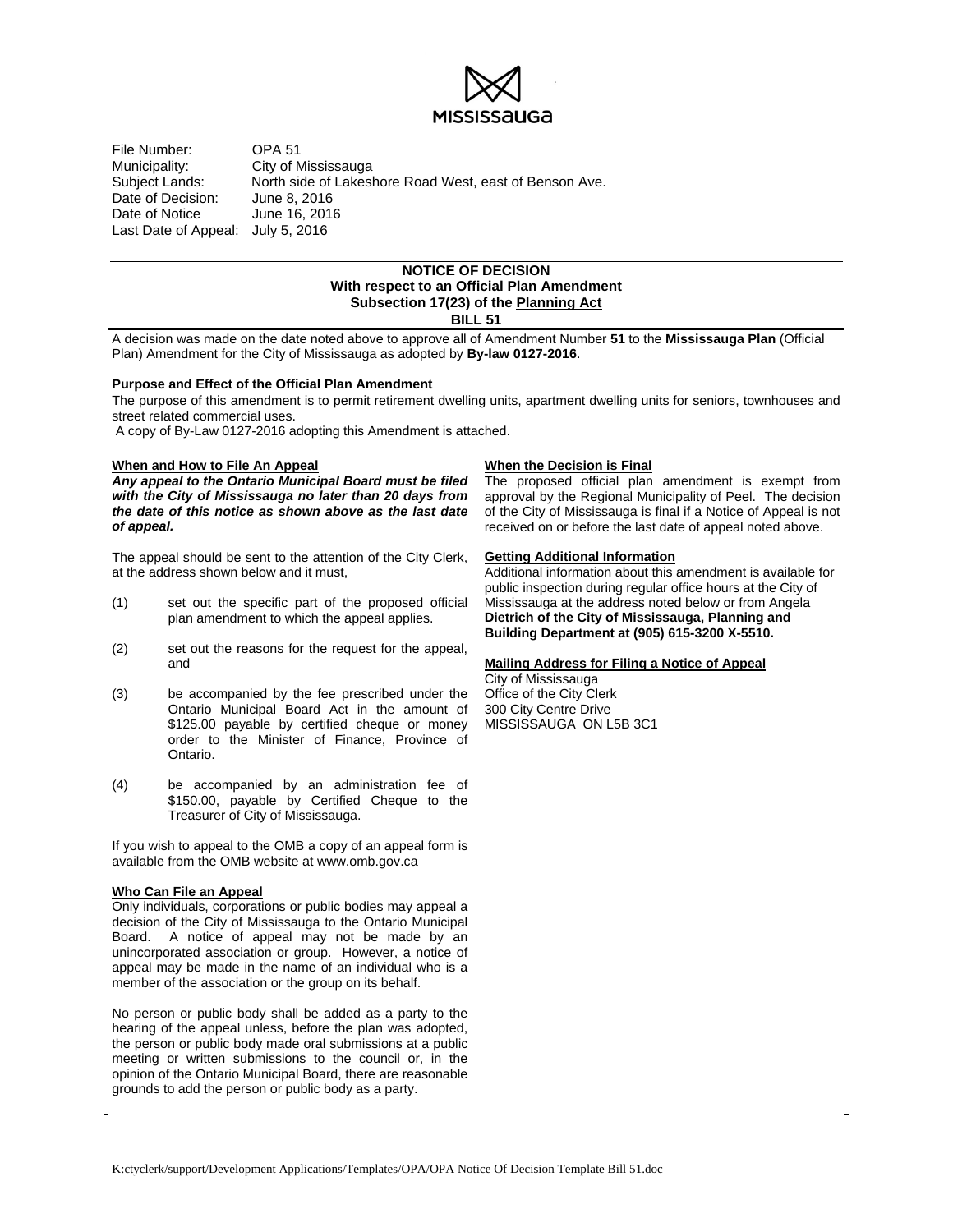

File Number: OPA 51<br>Municipality: City of M Municipality: City of Mississauga<br>Subject Lands: North side of Lakesh North side of Lakeshore Road West, east of Benson Ave.<br>June 8, 2016 Date of Decision: June 8, 2016<br>Date of Notice June 16, 2016 Date of Notice Last Date of Appeal: July 5, 2016

#### **NOTICE OF DECISION With respect to an Official Plan Amendment Subsection 17(23) of the Planning Act**

**BILL 51** 

A decision was made on the date noted above to approve all of Amendment Number **51** to the **Mississauga Plan** (Official Plan) Amendment for the City of Mississauga as adopted by **By-law 0127-2016**.

#### **Purpose and Effect of the Official Plan Amendment**

The purpose of this amendment is to permit retirement dwelling units, apartment dwelling units for seniors, townhouses and street related commercial uses.

A copy of By-Law 0127-2016 adopting this Amendment is attached.

| of appeal. | When and How to File An Appeal<br>Any appeal to the Ontario Municipal Board must be filed<br>with the City of Mississauga no later than 20 days from<br>the date of this notice as shown above as the last date                                                                                                                                                                             | When the Decision is Final<br>The proposed official plan amendment is exempt from<br>approval by the Regional Municipality of Peel. The decision<br>of the City of Mississauga is final if a Notice of Appeal is not<br>received on or before the last date of appeal noted above. |  |  |  |  |  |  |  |  |
|------------|---------------------------------------------------------------------------------------------------------------------------------------------------------------------------------------------------------------------------------------------------------------------------------------------------------------------------------------------------------------------------------------------|------------------------------------------------------------------------------------------------------------------------------------------------------------------------------------------------------------------------------------------------------------------------------------|--|--|--|--|--|--|--|--|
|            | The appeal should be sent to the attention of the City Clerk,<br>at the address shown below and it must,                                                                                                                                                                                                                                                                                    | <b>Getting Additional Information</b><br>Additional information about this amendment is available for<br>public inspection during regular office hours at the City of                                                                                                              |  |  |  |  |  |  |  |  |
| (1)        | set out the specific part of the proposed official<br>plan amendment to which the appeal applies.                                                                                                                                                                                                                                                                                           | Mississauga at the address noted below or from Angela<br>Dietrich of the City of Mississauga, Planning and<br>Building Department at (905) 615-3200 X-5510.                                                                                                                        |  |  |  |  |  |  |  |  |
| (2)        | set out the reasons for the request for the appeal,<br>and                                                                                                                                                                                                                                                                                                                                  | Mailing Address for Filing a Notice of Appeal<br>City of Mississauga                                                                                                                                                                                                               |  |  |  |  |  |  |  |  |
| (3)        | be accompanied by the fee prescribed under the<br>Ontario Municipal Board Act in the amount of<br>\$125.00 payable by certified cheque or money<br>order to the Minister of Finance, Province of<br>Ontario.                                                                                                                                                                                | Office of the City Clerk<br>300 City Centre Drive<br>MISSISSAUGA ON L5B 3C1                                                                                                                                                                                                        |  |  |  |  |  |  |  |  |
| (4)        | be accompanied by an administration fee of<br>\$150.00, payable by Certified Cheque to the<br>Treasurer of City of Mississauga.                                                                                                                                                                                                                                                             |                                                                                                                                                                                                                                                                                    |  |  |  |  |  |  |  |  |
|            | If you wish to appeal to the OMB a copy of an appeal form is<br>available from the OMB website at www.omb.gov.ca                                                                                                                                                                                                                                                                            |                                                                                                                                                                                                                                                                                    |  |  |  |  |  |  |  |  |
| Board.     | <b>Who Can File an Appeal</b><br>Only individuals, corporations or public bodies may appeal a<br>decision of the City of Mississauga to the Ontario Municipal<br>A notice of appeal may not be made by an<br>unincorporated association or group. However, a notice of<br>appeal may be made in the name of an individual who is a<br>member of the association or the group on its behalf. |                                                                                                                                                                                                                                                                                    |  |  |  |  |  |  |  |  |
|            | No person or public body shall be added as a party to the<br>hearing of the appeal unless, before the plan was adopted,<br>the person or public body made oral submissions at a public<br>meeting or written submissions to the council or, in the<br>opinion of the Ontario Municipal Board, there are reasonable<br>grounds to add the person or public body as a party.                  |                                                                                                                                                                                                                                                                                    |  |  |  |  |  |  |  |  |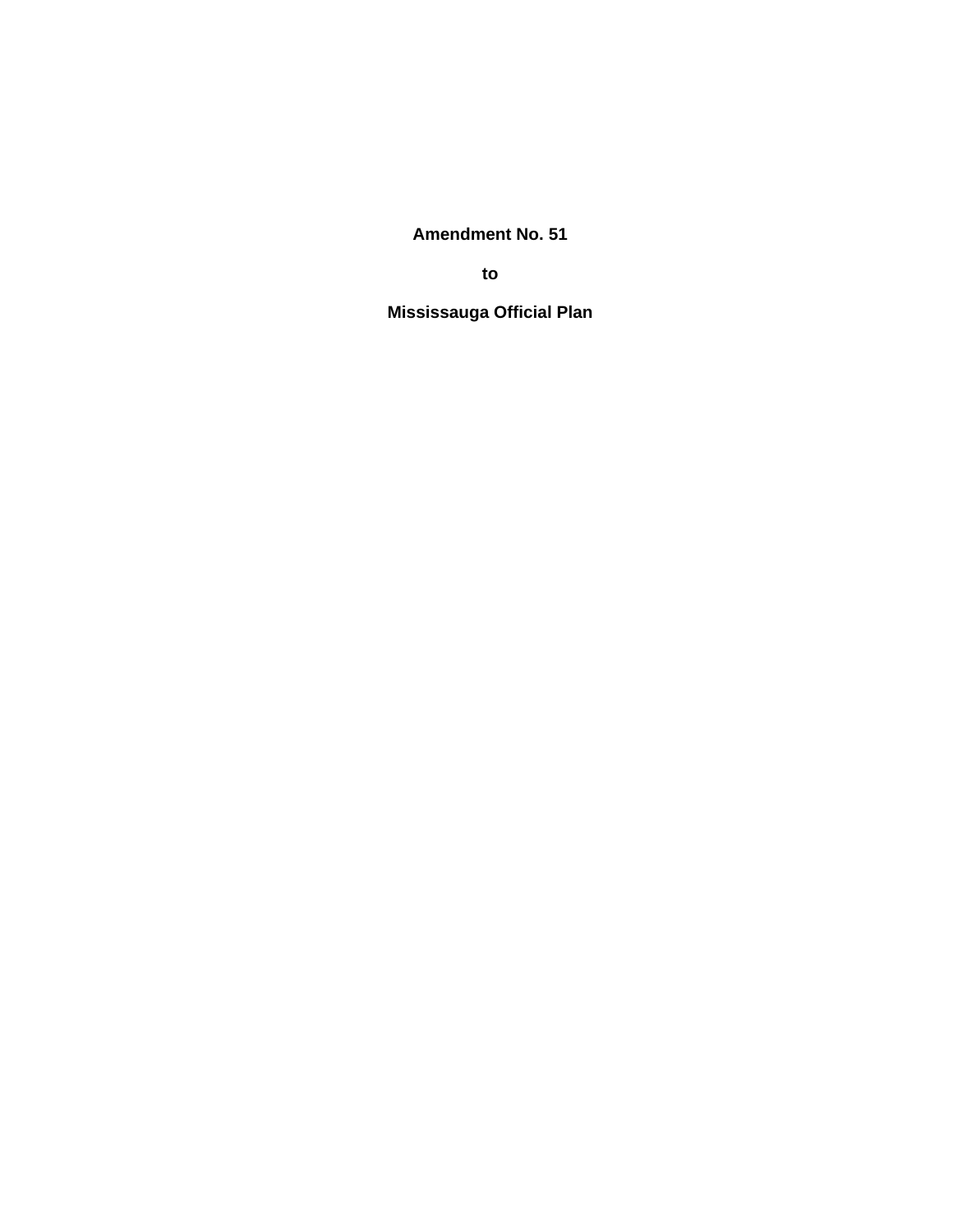**Amendment No. 51** 

**to** the contract of the contract of the contract of the contract of the contract of the contract of the contract of the contract of the contract of the contract of the contract of the contract of the contract of the contr

 **Mississauga Official Plan**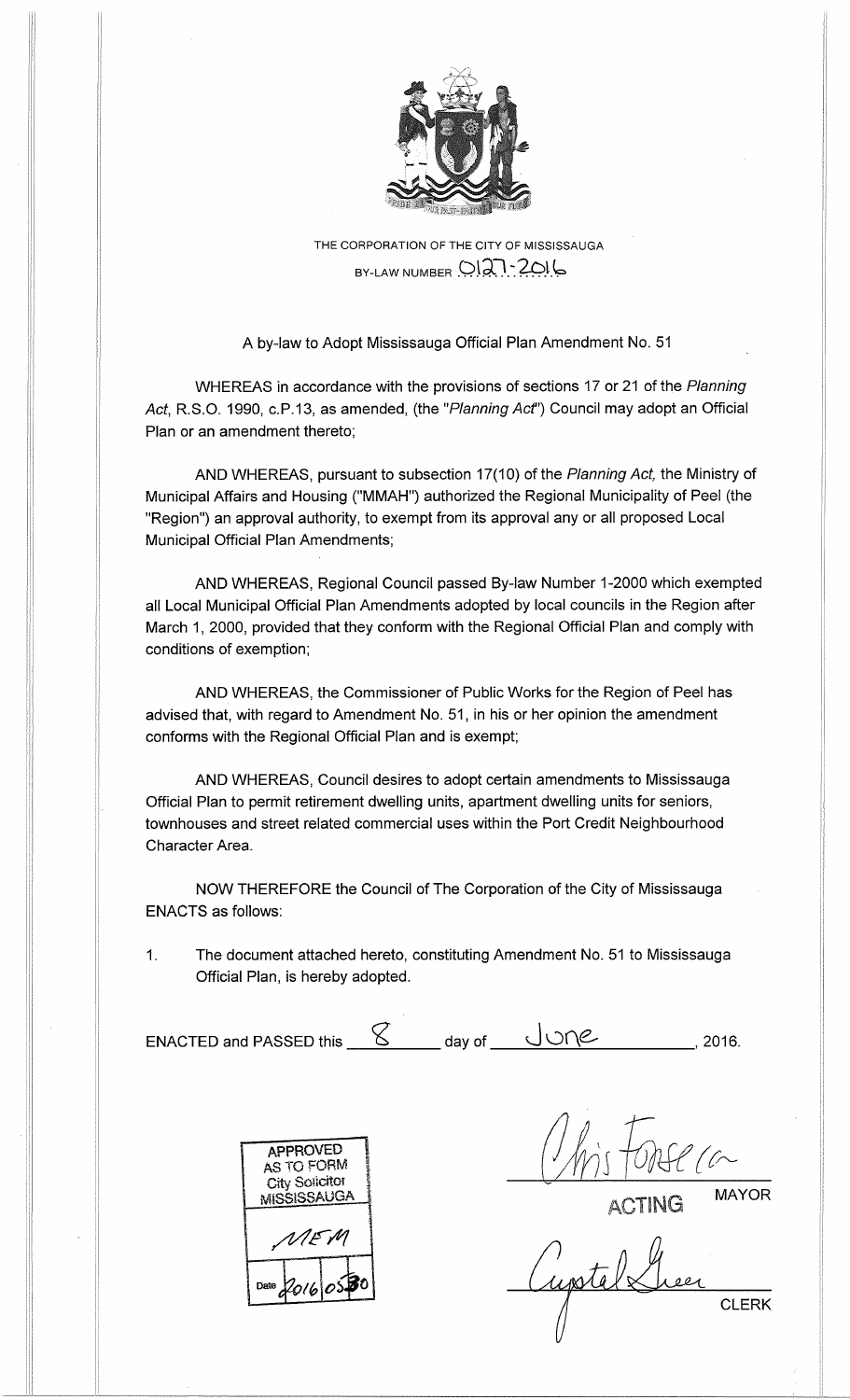

THE CORPORATION OF THE CITY OF MISSISSAUGA BY-LAW NUMBER  $O(27)$ -2016

#### A by-law to Adopt Mississauga Official Plan Amendment No. 51

WHEREAS in accordance with the provisions of sections 17 or 21 of the Planning Act, R.S.O. 1990, c.P.13, as amended, (the "Planning Act") Council may adopt an Official Plan or an amendment thereto;

AND WHEREAS, pursuant to subsection 17(10) of the Planning Act, the Ministry of Municipal Affairs and Housing ("MMAH") authorized the Regional Municipality of Peel (the "Region") an approval authority, to exempt from its approval any or all proposed Local Municipal Official Plan Amendments;

AND WHEREAS, Regional Council passed By-law Number 1-2000 which exempted all Local Municipal Official Plan Amendments adopted by local councils in the Region after March 1, 2000, provided that they conform with the Regional Official Plan and comply with conditions of exemption;

AND WHEREAS, the Commissioner of Public Works for the Region of Peel has advised that, with regard to Amendment No. 51, in his or her opinion the amendment conforms with the Regional Official Plan and is exempt;

AND WHEREAS, Council desires to adopt certain amendments to Mississauga Official Plan to permit retirement dwelling units, apartment dwelling units for seniors, townhouses and street related commercial uses within the Port Credit Neighbourhood Character Area.

NOW THEREFORE the Council of The Corporation of the City of Mississauga **ENACTS** as follows:

 $1<sub>1</sub>$ The document attached hereto, constituting Amendment No. 51 to Mississauga Official Plan, is hereby adopted.

ENACTED and PASSED this  $8$  day of  $\bigcup$  ONE, 2016.



**MAYOR** 

Cupital **CLERK**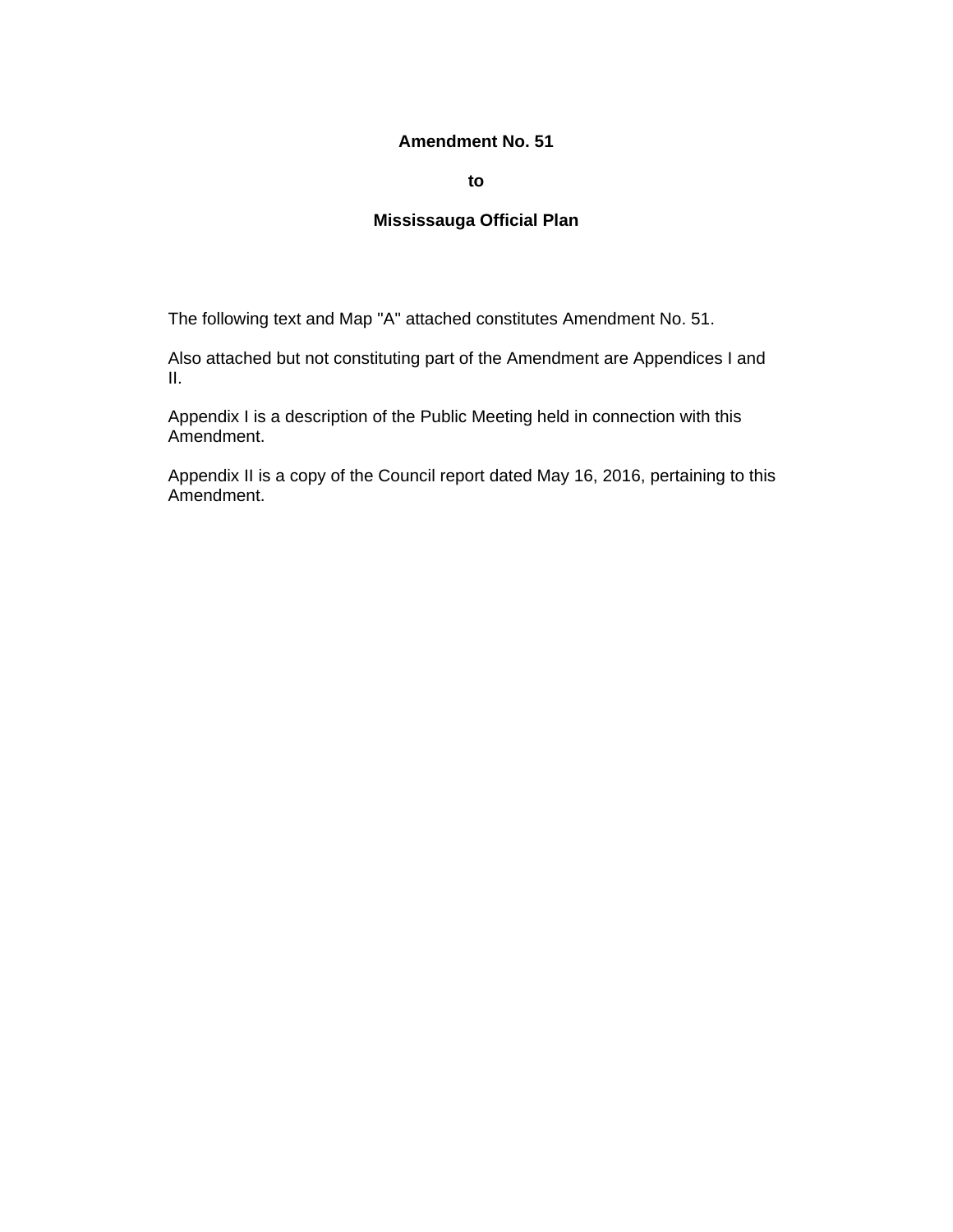#### **Amendment No. 51**

**to** the contract of the contract of the contract of the contract of the contract of the contract of the contract of the contract of the contract of the contract of the contract of the contract of the contract of the contr

#### **Mississauga Official Plan**

The following text and Map "A" attached constitutes Amendment No. 51.

Also attached but not constituting part of the Amendment are Appendices I and II.

Appendix I is a description of the Public Meeting held in connection with this Amendment.

Appendix II is a copy of the Council report dated May 16, 2016, pertaining to this Amendment.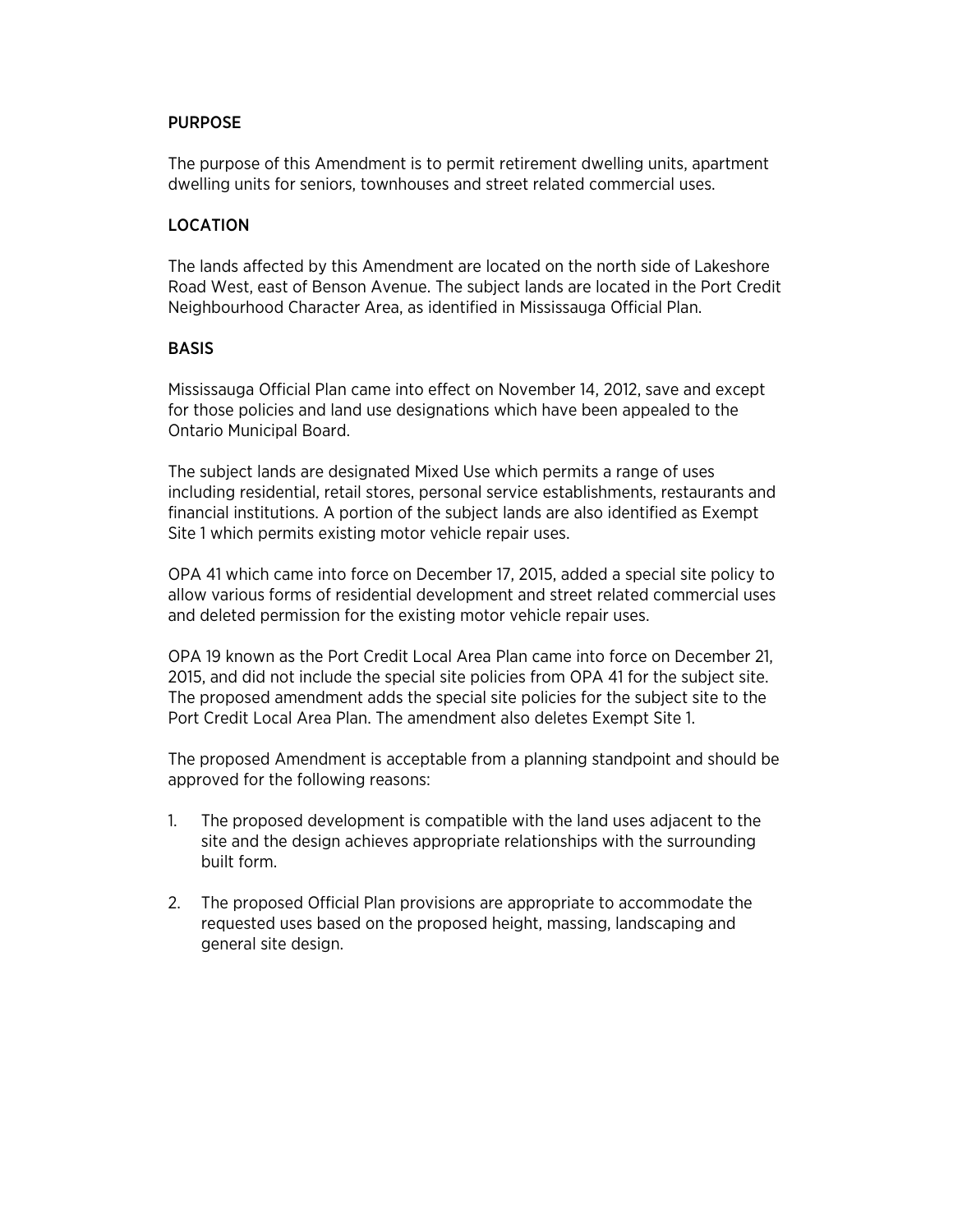#### PURPOSE

The purpose of this Amendment is to permit retirement dwelling units, apartment dwelling units for seniors, townhouses and street related commercial uses.

### LOCATION

The lands affected by this Amendment are located on the north side of Lakeshore Road West, east of Benson Avenue. The subject lands are located in the Port Credit Neighbourhood Character Area, as identified in Mississauga Official Plan.

#### BASIS

Mississauga Official Plan came into effect on November 14, 2012, save and except for those policies and land use designations which have been appealed to the Ontario Municipal Board.

The subject lands are designated Mixed Use which permits a range of uses including residential, retail stores, personal service establishments, restaurants and financial institutions. A portion of the subject lands are also identified as Exempt Site 1 which permits existing motor vehicle repair uses.

OPA 41 which came into force on December 17, 2015, added a special site policy to allow various forms of residential development and street related commercial uses and deleted permission for the existing motor vehicle repair uses.

OPA 19 known as the Port Credit Local Area Plan came into force on December 21, 2015, and did not include the special site policies from OPA 41 for the subject site. The proposed amendment adds the special site policies for the subject site to the Port Credit Local Area Plan. The amendment also deletes Exempt Site 1.

The proposed Amendment is acceptable from a planning standpoint and should be approved for the following reasons:

- 1. The proposed development is compatible with the land uses adjacent to the site and the design achieves appropriate relationships with the surrounding built form.
- 2. The proposed Official Plan provisions are appropriate to accommodate the requested uses based on the proposed height, massing, landscaping and general site design.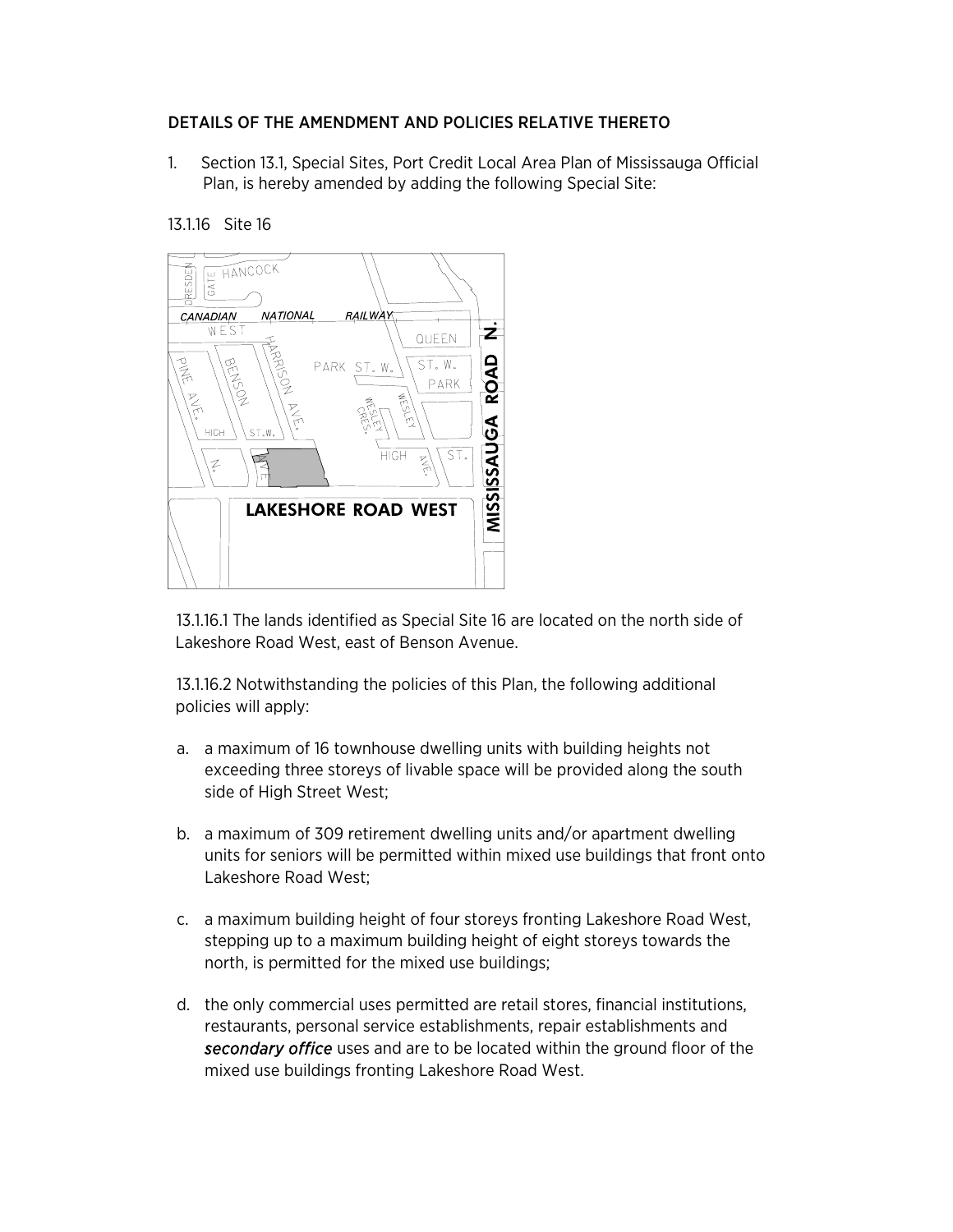### DETAILS OF THE AMENDMENT AND POLICIES RELATIVE THERETO

1. Section 13.1, Special Sites, Port Credit Local Area Plan of Mississauga Official Plan, is hereby amended by adding the following Special Site:

13.1.16 Site 16



13.1.16.1 The lands identified as Special Site 16 are located on the north side of Lakeshore Road West, east of Benson Avenue.

13.1.16.2 Notwithstanding the policies of this Plan, the following additional policies will apply:

- a. a maximum of 16 townhouse dwelling units with building heights not exceeding three storeys of livable space will be provided along the south side of High Street West;
- b. a maximum of 309 retirement dwelling units and/or apartment dwelling units for seniors will be permitted within mixed use buildings that front onto Lakeshore Road West;
- c. a maximum building height of four storeys fronting Lakeshore Road West, stepping up to a maximum building height of eight storeys towards the north, is permitted for the mixed use buildings;
- d. the only commercial uses permitted are retail stores, financial institutions, restaurants, personal service establishments, repair establishments and *secondary office* uses and are to be located within the ground floor of the mixed use buildings fronting Lakeshore Road West.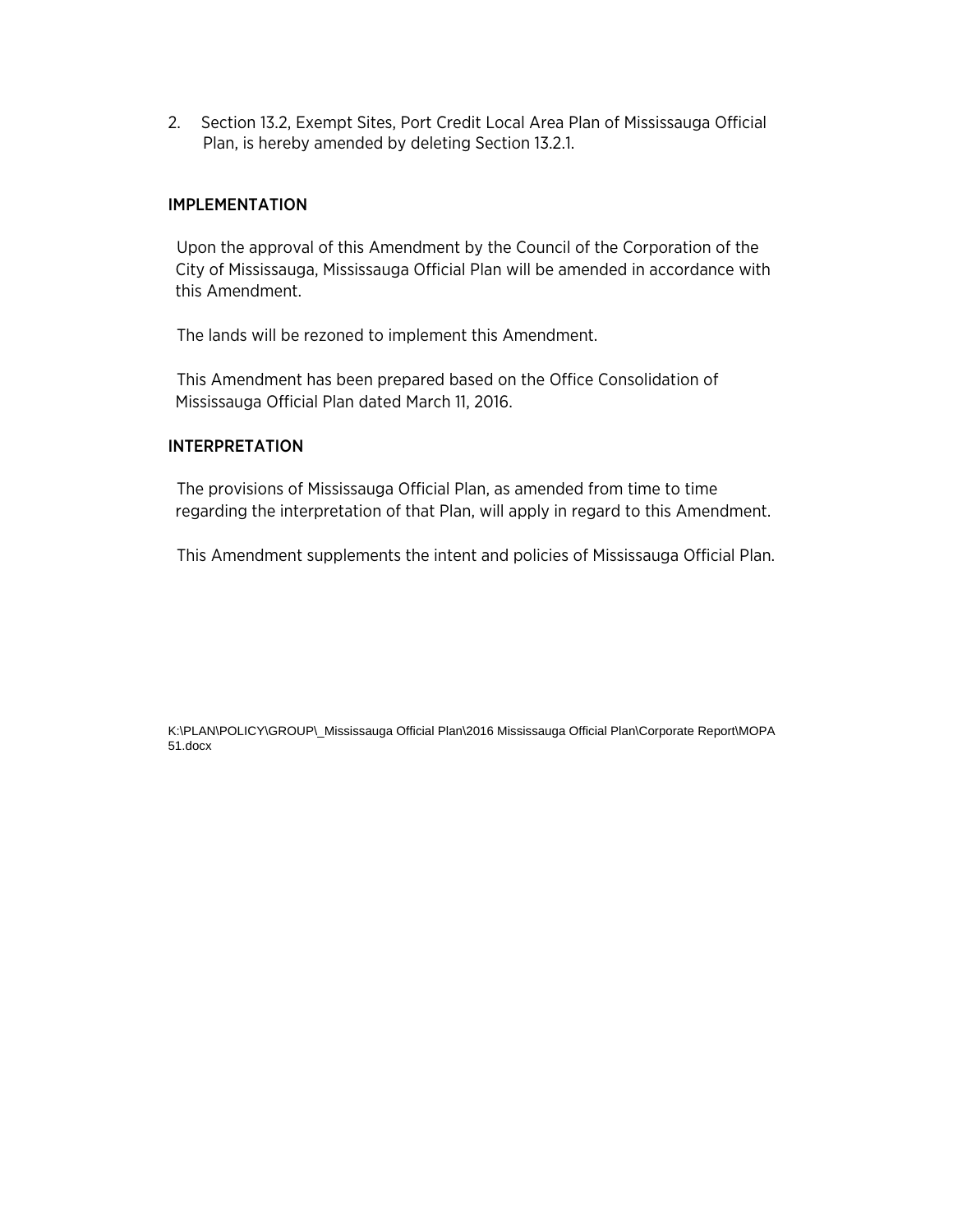2. Section 13.2, Exempt Sites, Port Credit Local Area Plan of Mississauga Official Plan, is hereby amended by deleting Section 13.2.1.

#### IMPLEMENTATION

Upon the approval of this Amendment by the Council of the Corporation of the City of Mississauga, Mississauga Official Plan will be amended in accordance with this Amendment.

The lands will be rezoned to implement this Amendment.

This Amendment has been prepared based on the Office Consolidation of Mississauga Official Plan dated March 11, 2016.

#### INTERPRETATION

The provisions of Mississauga Official Plan, as amended from time to time regarding the interpretation of that Plan, will apply in regard to this Amendment.

This Amendment supplements the intent and policies of Mississauga Official Plan.

K:\PLAN\POLICY\GROUP\\_Mississauga Official Plan\2016 Mississauga Official Plan\Corporate Report\MOPA 51.docx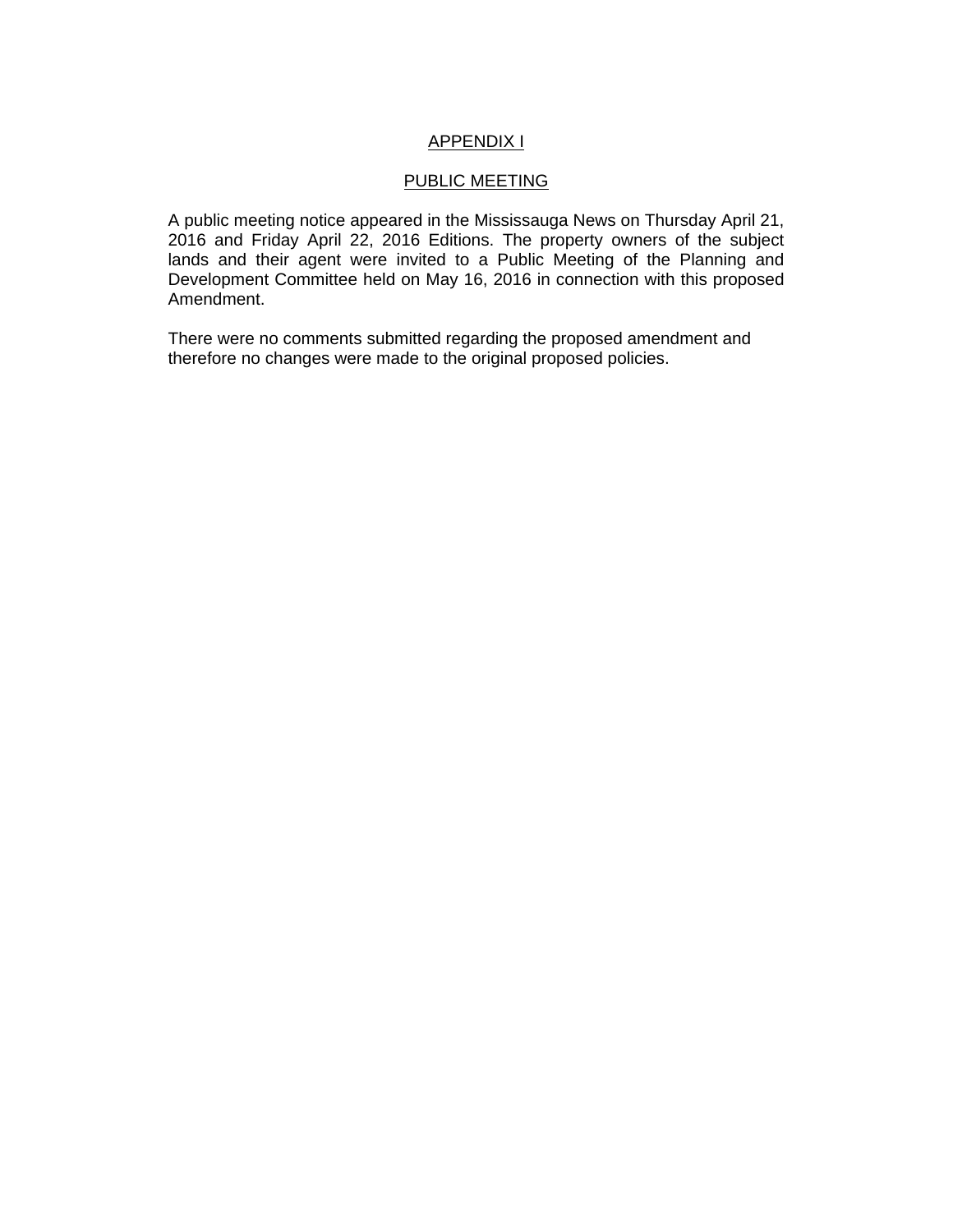### APPENDIX I

#### PUBLIC MEETING

A public meeting notice appeared in the Mississauga News on Thursday April 21, 2016 and Friday April 22, 2016 Editions. The property owners of the subject lands and their agent were invited to a Public Meeting of the Planning and Development Committee held on May 16, 2016 in connection with this proposed Amendment.

There were no comments submitted regarding the proposed amendment and therefore no changes were made to the original proposed policies.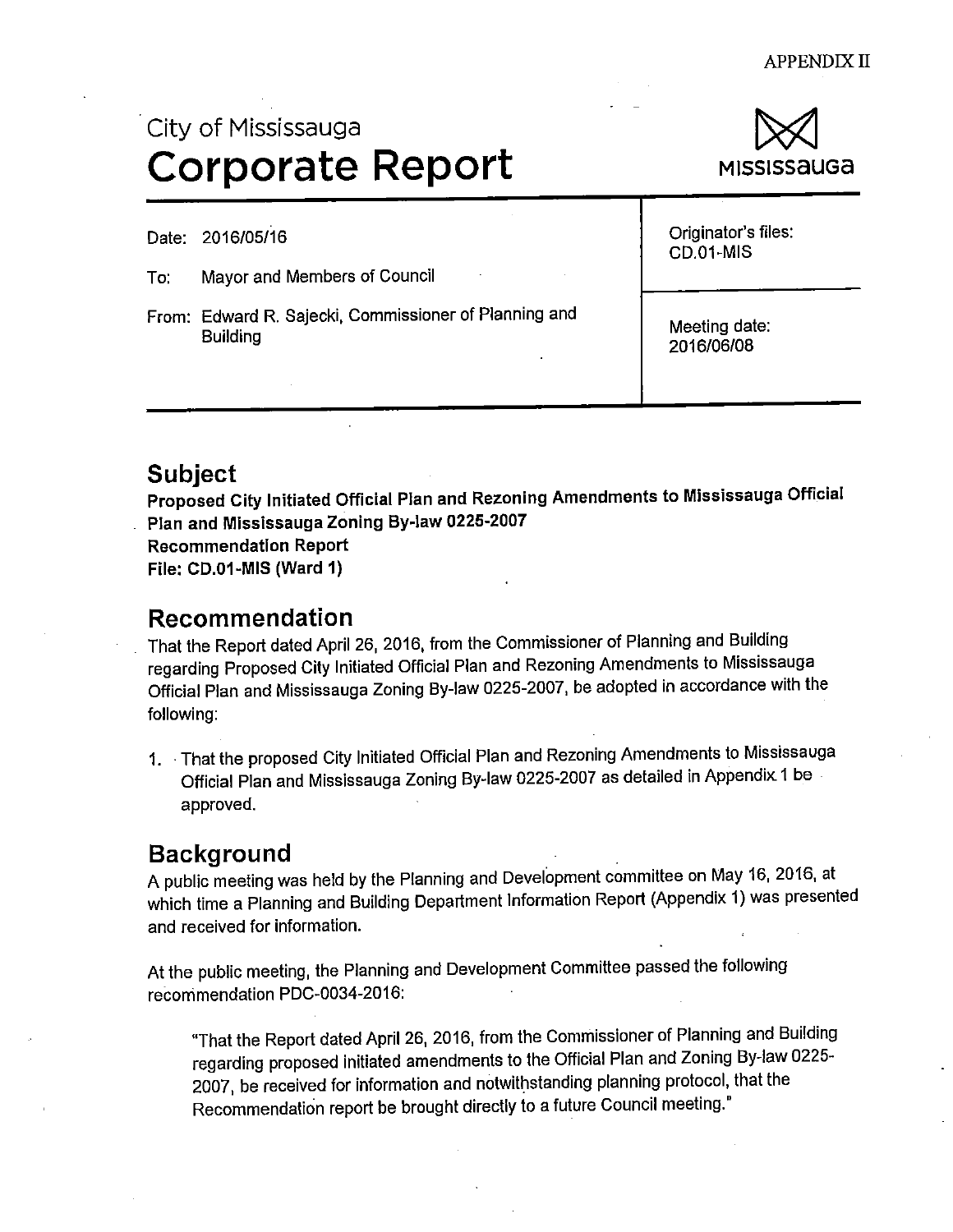# City of Mississauga **Corporate Report**

Date: 2016/05/16

Mayor and Members of Council To:

From: Edward R. Sajecki, Commissioner of Planning and **Building** 

**CD.01-MIS** 

Originator's files:

Meeting date: 2016/06/08

## **Subject**

Proposed City Initiated Official Plan and Rezoning Amendments to Mississauga Official Plan and Mississauga Zoning By-law 0225-2007 **Recommendation Report** File: CD.01-MIS (Ward 1)

## Recommendation

That the Report dated April 26, 2016, from the Commissioner of Planning and Building regarding Proposed City Initiated Official Plan and Rezoning Amendments to Mississauga Official Plan and Mississauga Zoning By-law 0225-2007, be adopted in accordance with the following:

1. That the proposed City Initiated Official Plan and Rezoning Amendments to Mississauga Official Plan and Mississauga Zoning By-law 0225-2007 as detailed in Appendix 1 be approved.

## **Background**

A public meeting was held by the Planning and Development committee on May 16, 2016, at which time a Planning and Building Department Information Report (Appendix 1) was presented and received for information.

At the public meeting, the Planning and Development Committee passed the following recommendation PDC-0034-2016:

"That the Report dated April 26, 2016, from the Commissioner of Planning and Building regarding proposed initiated amendments to the Official Plan and Zoning By-law 0225-2007, be received for information and notwithstanding planning protocol, that the Recommendation report be brought directly to a future Council meeting."

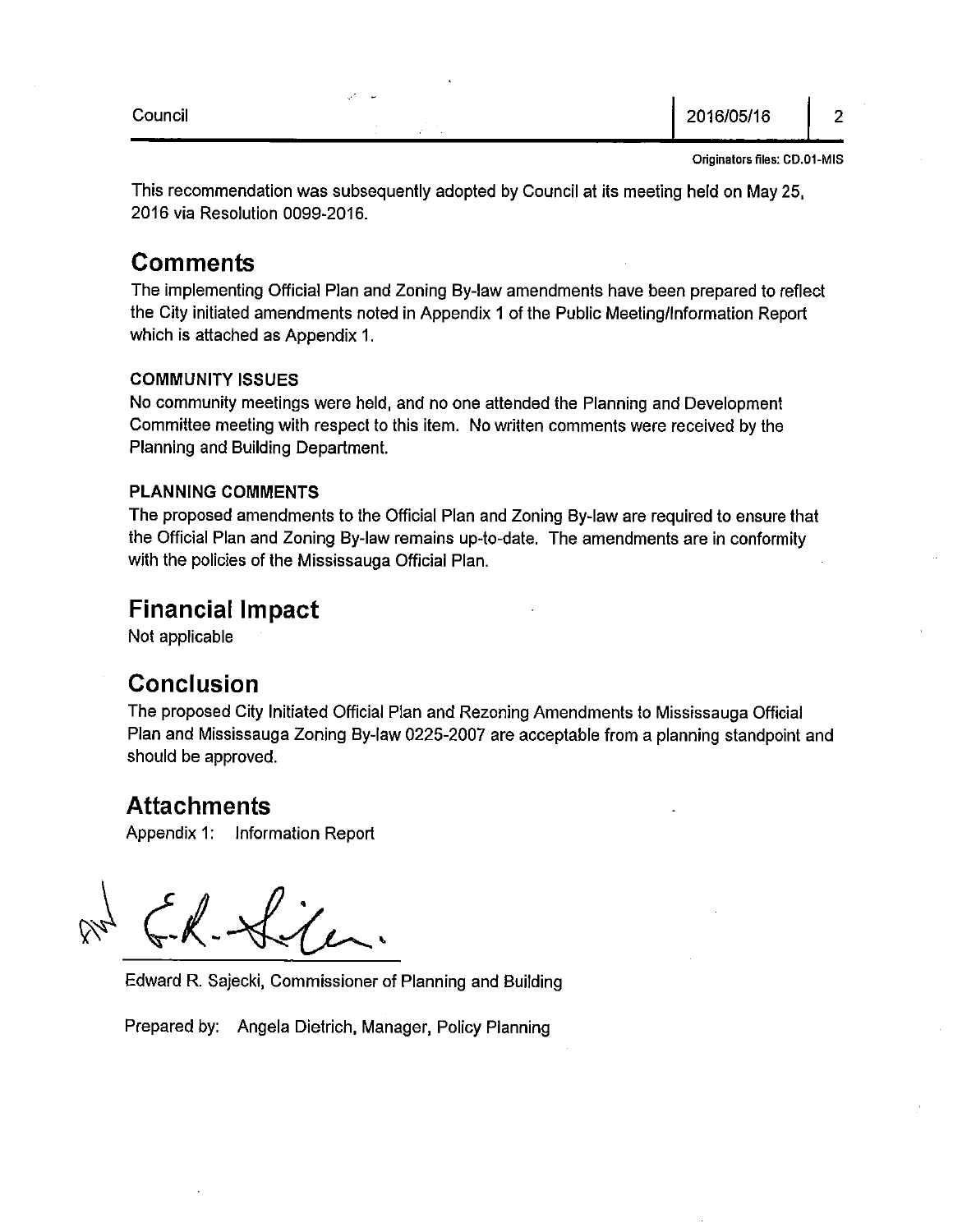Council

Originators files: CD.01-MIS

 $\overline{2}$ 

This recommendation was subsequently adopted by Council at its meeting held on May 25, 2016 via Resolution 0099-2016.

## **Comments**

The implementing Official Plan and Zoning By-law amendments have been prepared to reflect the City initiated amendments noted in Appendix 1 of the Public Meeting/Information Report which is attached as Appendix 1.

### **COMMUNITY ISSUES**

No community meetings were held, and no one attended the Planning and Development Committee meeting with respect to this item. No written comments were received by the Planning and Building Department.

## **PLANNING COMMENTS**

The proposed amendments to the Official Plan and Zoning By-law are required to ensure that the Official Plan and Zoning By-law remains up-to-date. The amendments are in conformity with the policies of the Mississauga Official Plan.

## **Financial Impact**

Not applicable

## **Conclusion**

The proposed City Initiated Official Plan and Rezoning Amendments to Mississauga Official Plan and Mississauga Zoning By-law 0225-2007 are acceptable from a planning standpoint and should be approved.

## **Attachments**

Appendix 1: Information Report

 $CA - A$ 

Edward R. Sajecki, Commissioner of Planning and Building

Prepared by: Angela Dietrich, Manager, Policy Planning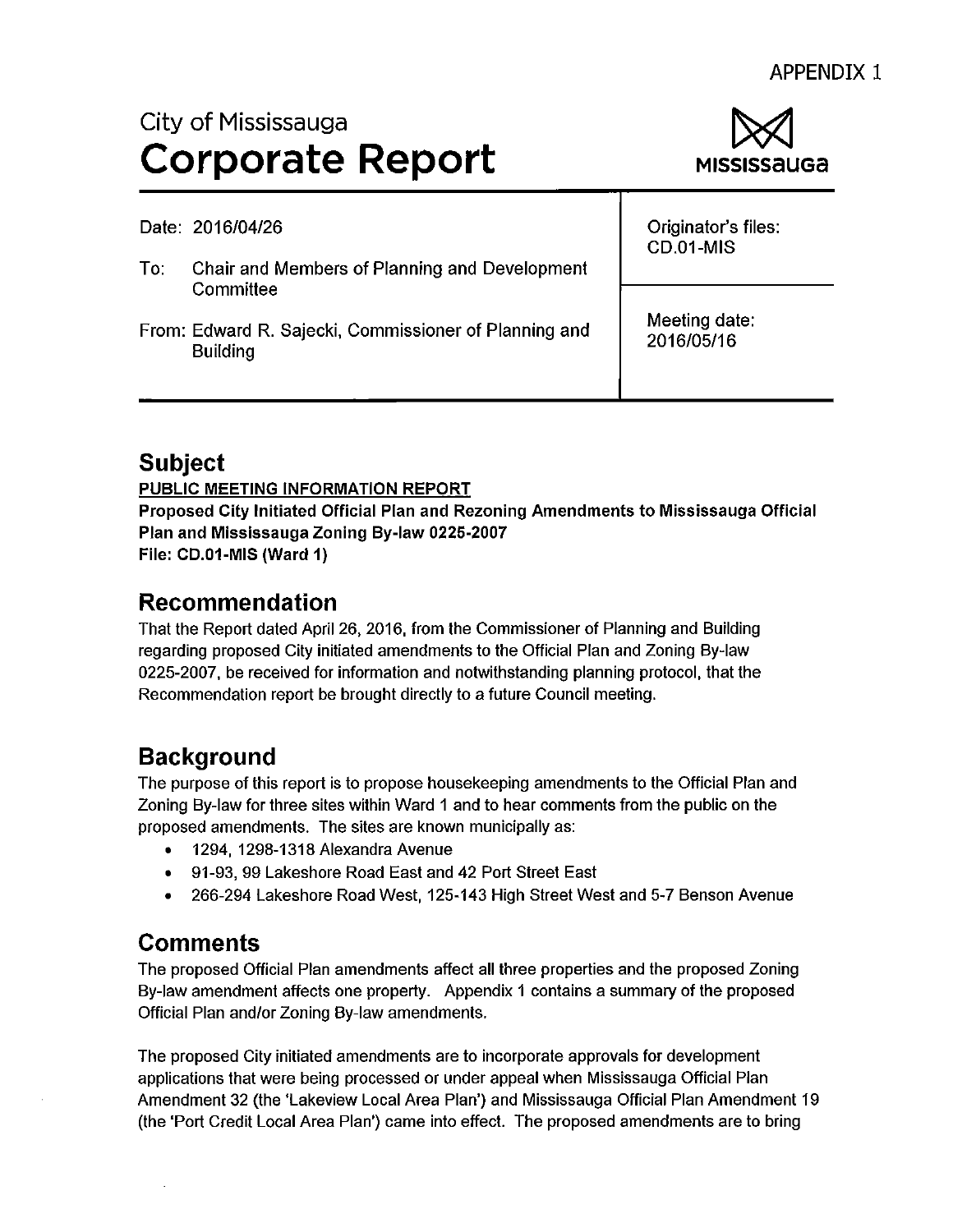# City of Mississauga **Corporate Report**



|     | Date: 2016/04/26                                                         | Originator's files:<br>CD.01-MIS |
|-----|--------------------------------------------------------------------------|----------------------------------|
| To: | Chair and Members of Planning and Development<br>Committee               |                                  |
|     | From: Edward R. Sajecki, Commissioner of Planning and<br><b>Building</b> | Meeting date:<br>2016/05/16      |

## **Subject**

PUBLIC MEETING INFORMATION REPORT

Proposed City Initiated Official Plan and Rezoning Amendments to Mississauga Official Plan and Mississauga Zoning By-law 0225-2007 File: CD.01-MIS (Ward 1)

## Recommendation

That the Report dated April 26, 2016, from the Commissioner of Planning and Building regarding proposed City initiated amendments to the Official Plan and Zoning By-law 0225-2007, be received for information and notwithstanding planning protocol, that the Recommendation report be brought directly to a future Council meeting.

# **Background**

The purpose of this report is to propose housekeeping amendments to the Official Plan and Zoning By-law for three sites within Ward 1 and to hear comments from the public on the proposed amendments. The sites are known municipally as:

- $\bullet$  1294, 1298-1318 Alexandra Avenue
- 91-93, 99 Lakeshore Road East and 42 Port Street East
- 266-294 Lakeshore Road West, 125-143 High Street West and 5-7 Benson Avenue

## **Comments**

The proposed Official Plan amendments affect all three properties and the proposed Zoning By-law amendment affects one property. Appendix 1 contains a summary of the proposed Official Plan and/or Zoning By-law amendments.

The proposed City initiated amendments are to incorporate approvals for development applications that were being processed or under appeal when Mississauga Official Plan Amendment 32 (the 'Lakeview Local Area Plan') and Mississauga Official Plan Amendment 19 (the 'Port Credit Local Area Plan') came into effect. The proposed amendments are to bring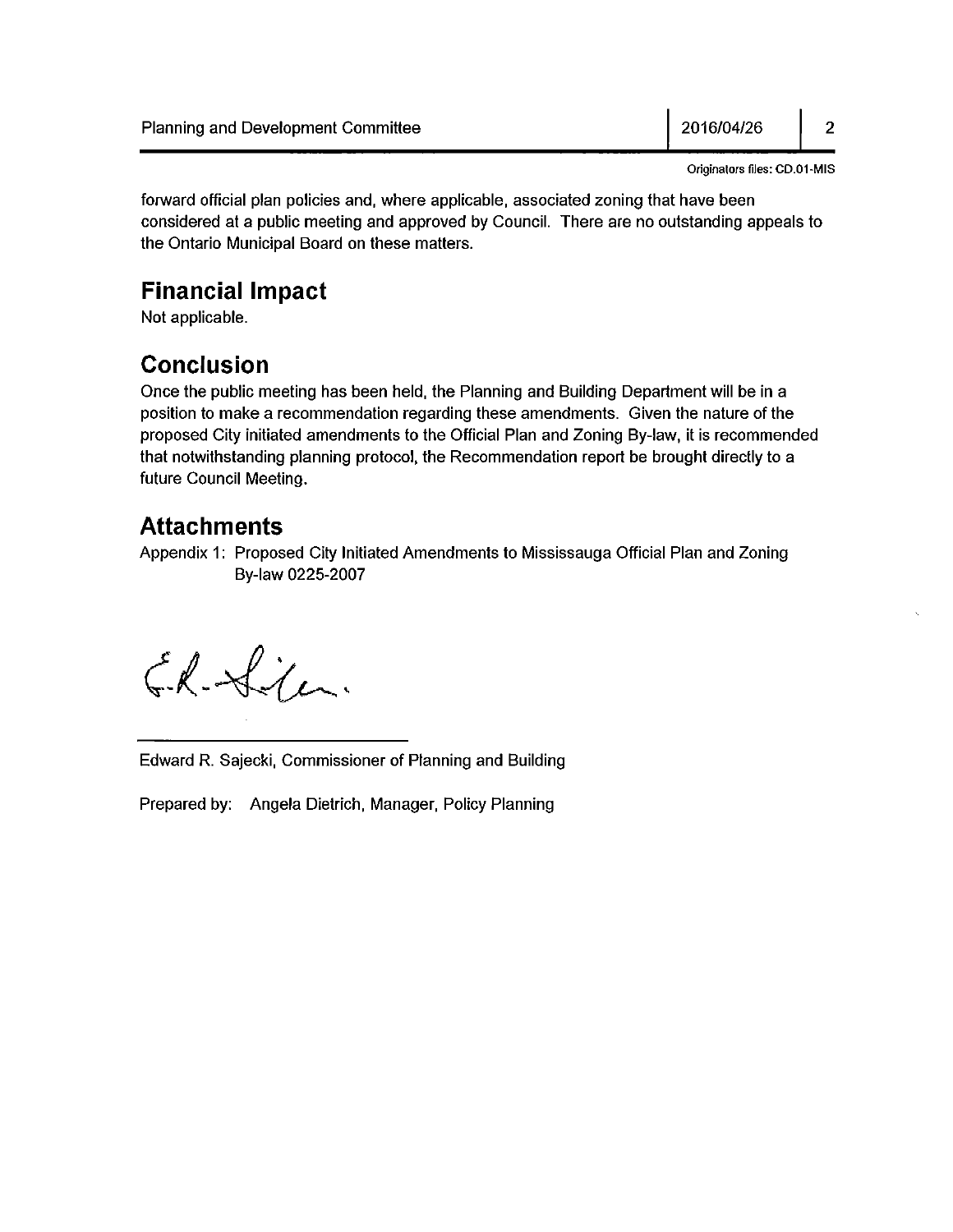| <b>Planning and Development Committee</b> | 2016/04/26 |  |
|-------------------------------------------|------------|--|

Originators files: CD.01-MIS

forward official plan policies and, where applicable, associated zoning that have been considered at a public meeting and approved by Council. There are no outstanding appeals to the Ontario Municipal Board on these matters.

## **Financial Impact**

Not applicable.

## **Conclusion**

Once the public meeting has been held, the Planning and Building Department will be in a position to make a recommendation regarding these amendments. Given the nature of the proposed City initiated amendments to the Official Plan and Zoning By-law, it is recommended that notwithstanding planning protocol, the Recommendation report be brought directly to a future Council Meeting.

## **Attachments**

Appendix 1: Proposed City Initiated Amendments to Mississauga Official Plan and Zoning By-law 0225-2007

El-Sila.

Edward R. Sajecki, Commissioner of Planning and Building

Prepared by: Angela Dietrich, Manager, Policy Planning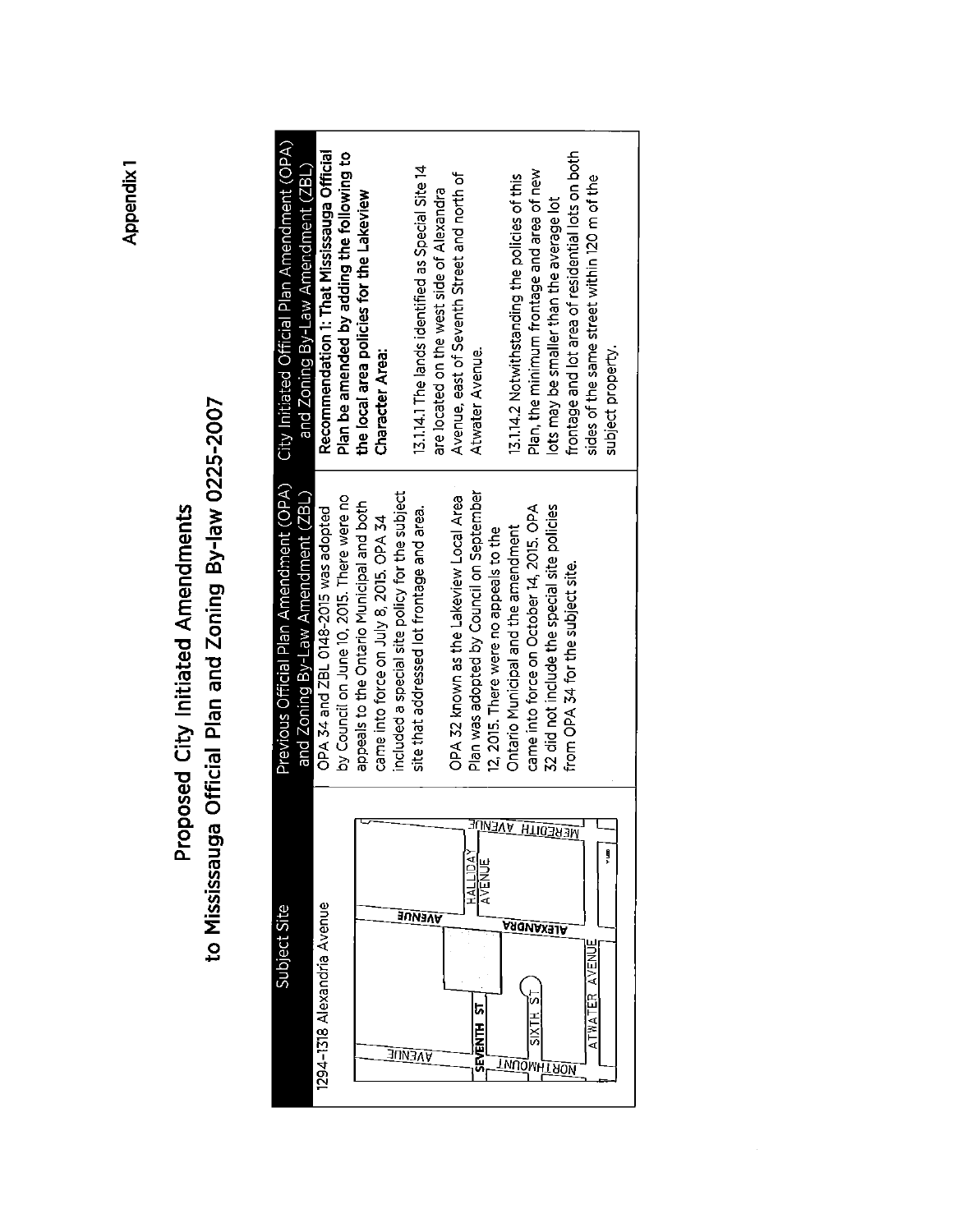Appendix 1

# to Mississauga Official Plan and Zoning By-law 0225-2007 Proposed City Initiated Amendments

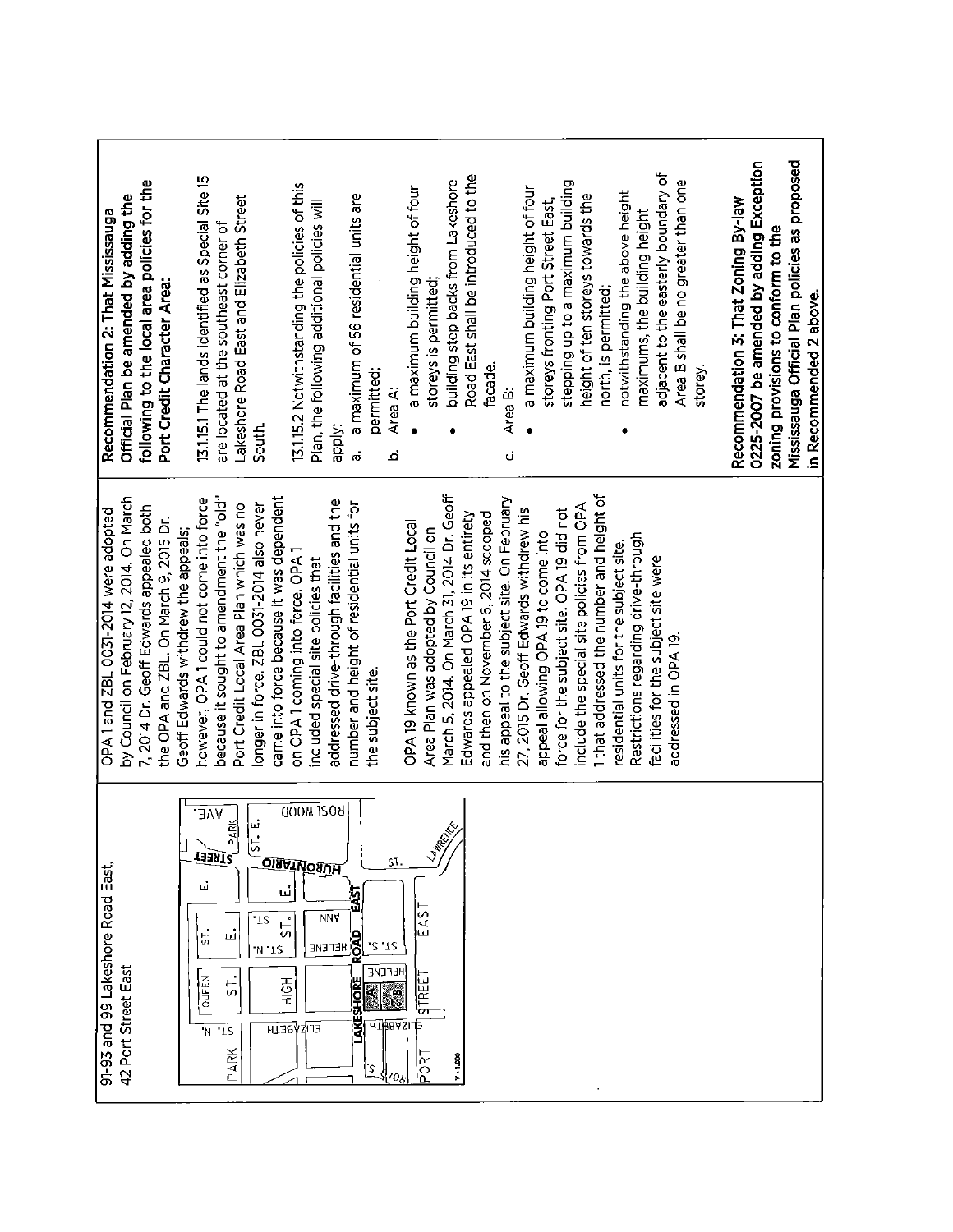| Official Plan be amended by adding the<br>Recommendation 2: That Mississauga      | following to the local area policies for the<br>Port Credit Character Area:      | 13.1.15.1 The lands identified as Special Site 15<br>are located at the southeast corner of                                 | Lakeshore Road East and Elizabeth Street<br>South.                                    | 13.1.15.2 Notwithstanding the policies of this<br>Plan, the following additional policies will                                                                     | a maximum of 56 residential units are<br>permitted;<br>apply.<br>$\dot{\sigma}$ | a maximum building height of four<br>Area A:<br>ó | building step backs from Lakeshore<br>storeys is permitted;                       | Road East shall be introduced to the<br>facade.                                 | Area B:<br>Ü                                                                           | a maximum building height of four<br>storeys fronting Port Street East,           | stepping up to a maximum building<br>height of ten storeys towards the | notwithstanding the above height<br>north, is permitted;<br>٠                                                                | adjacent to the easterly boundary of<br>Area B shall be no greater than one<br>maximums, the building height | storey. | 0225-2007 be amended by adding Exception<br>Recommendation 3: That Zoning By-law | Mississauga Official Plan policies as proposed<br>zoning provisions to conform to the<br>in Recommended 2 above. |
|-----------------------------------------------------------------------------------|----------------------------------------------------------------------------------|-----------------------------------------------------------------------------------------------------------------------------|---------------------------------------------------------------------------------------|--------------------------------------------------------------------------------------------------------------------------------------------------------------------|---------------------------------------------------------------------------------|---------------------------------------------------|-----------------------------------------------------------------------------------|---------------------------------------------------------------------------------|----------------------------------------------------------------------------------------|-----------------------------------------------------------------------------------|------------------------------------------------------------------------|------------------------------------------------------------------------------------------------------------------------------|--------------------------------------------------------------------------------------------------------------|---------|----------------------------------------------------------------------------------|------------------------------------------------------------------------------------------------------------------|
| by Council on February 12, 2014. On March<br>OPA 1 and ZBL 0031-2014 were adopted | 7, 2014 Dr. Geoff Edwards appealed both<br>the OPA and ZBL. On March 9, 2015 Dr. | because it sought to amendment the "old"<br>however, OPA 1 could not come into force<br>Geoff Edwards withdrew the appeals; | longer in force. ZBL 0031-2014 also never<br>Port Credit Local Area Plan which was no | came into force because it was dependent<br>addressed drive-through facilities and the<br>on OPA 1 coming into force. OPA 1<br>included special site policies that | number and height of residential units for<br>the subject site.                 | OPA 19 known as the Port Credit Local             | March 5, 2014. On March 31, 2014 Dr. Geoff<br>Area Plan was adopted by Council on | and then on November 6, 2014 scooped<br>Edwards appealed OPA 19 in its entirety | his appeal to the subject site. On February<br>27, 2015 Dr. Geoff Edwards withdrew his | force for the subject site. OPA 19 did not<br>appeal allowing OPA 19 to come into | include the special site policies from OPA                             | I that addressed the number and height of<br>Restrictions regarding drive-through<br>residential units for the subject site. | facilities for the subject site were<br>addressed in OPA 19.                                                 |         |                                                                                  |                                                                                                                  |
| 91-93 and 99 Lakeshore Road East,<br>42 Port Street East                          |                                                                                  | AYE<br><b>TREET</b><br>щĪ<br>뉴<br><b>QUEEN</b><br>'N                                                                        | PARK<br>ů,<br>$\overline{5}$<br>'1S<br>யி<br>$N$ .TZ<br>5<br>1S<br>ARK<br>$\Omega$    | ROSEMOOD<br><b>OISATVOSUH</b><br>யி<br><b>NNA</b><br>n<br>중<br>도<br><b>HT38ASTH</b>                                                                                | EAS<br><b>B</b><br><b>AKESHORE</b><br>'S                                        | ST.<br>5.72<br>ヨハヨコヨト<br>i.<br>нтіналді           | <b>LAWRENCE</b><br>s<br>∢<br>ш<br><b>STREE</b><br>v-1.00<br>δ                     |                                                                                 |                                                                                        |                                                                                   |                                                                        |                                                                                                                              |                                                                                                              |         |                                                                                  |                                                                                                                  |

<u> 1989 - Johann Barn, mars ann an t-</u>